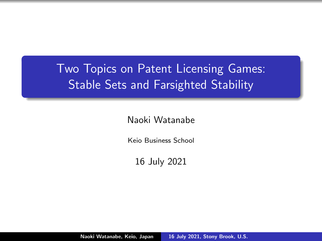# <span id="page-0-0"></span>Two Topics on Patent Licensing Games: Stable Sets and Farsighted Stability

Naoki Watanabe

Keio Business School

16 July 2021

Naoki Watanabe, Keio, Japan [16 July 2021, Stony Brook, U.S.](#page-31-0)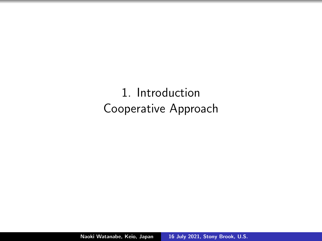1. Introduction Cooperative Approach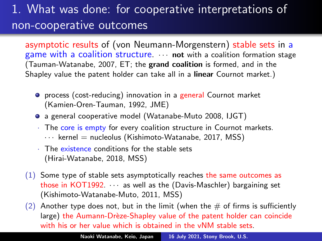# 1. What was done: for cooperative interpretations of non-cooperative outcomes

asymptotic results of (von Neumann-Morgenstern) stable sets in a game with a coalition structure.  $\cdots$  not with a coalition formation stage (Tauman-Watanabe, 2007, ET; the grand coalition is formed, and in the Shapley value the patent holder can take all in a linear Cournot market.)

- **•** process (cost-reducing) innovation in a general Cournot market (Kamien-Oren-Tauman, 1992, JME)
- a general cooperative model (Watanabe-Muto 2008, IJGT)
- The core is empty for every coalition structure in Cournot markets.
	- $\cdots$  kernel = nucleolus (Kishimoto-Watanabe, 2017, MSS)
- · The existence conditions for the stable sets (Hirai-Watanabe, 2018, MSS)
- (1) Some type of stable sets asymptotically reaches the same outcomes as those in KOT1992. · · · as well as the (Davis-Maschler) bargaining set (Kishimoto-Watanabe-Muto, 2011, MSS)

(2) Another type does not, but in the limit (when the  $\#$  of firms is sufficiently large) the Aumann-Drèze-Shapley value of the patent holder can coincide with his or her value which is obtained in the vNM stable sets.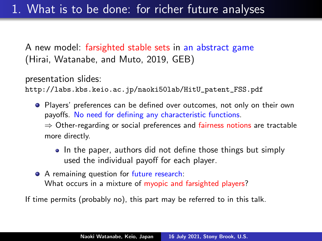A new model: farsighted stable sets in an abstract game (Hirai, Watanabe, and Muto, 2019, GEB)

presentation slides:

[http://labs.kbs.keio.ac.jp/naoki50lab/HitU\\_patent\\_FSS.pdf](http://labs.kbs.keio.ac.jp/naoki50lab/HitU_patent_FSS.pdf)

**•** Players' preferences can be defined over outcomes, not only on their own payoffs. No need for defining any characteristic functions.

⇒ Other-regarding or social preferences and fairness notions are tractable more directly.

- In the paper, authors did not define those things but simply used the individual payoff for each player.
- A remaining question for future research: What occurs in a mixture of myopic and farsighted players?

If time permits (probably no), this part may be referred to in this talk.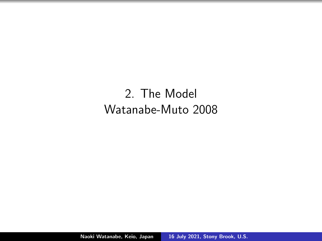# 2. The Model Watanabe-Muto 2008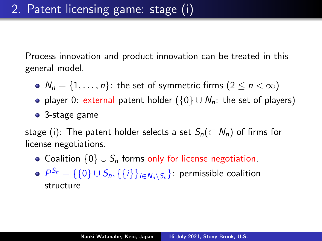Process innovation and product innovation can be treated in this general model.

- $N_n = \{1, \ldots, n\}$ : the set of symmetric firms  $(2 \le n < \infty)$
- player 0: external patent holder ( $\{0\} \cup N_n$ : the set of players)
- 3-stage game

stage (i): The patent holder selects a set  $S_n(\subset N_n)$  of firms for license negotiations.

- Coalition  $\{0\} \cup S_n$  forms only for license negotiation.
- $\mathcal{P}^{S_n} = \{\{0\} \cup S_n, \{\{i\}\}_{i \in N_n \setminus S_n}\}$ : permissible coalition structure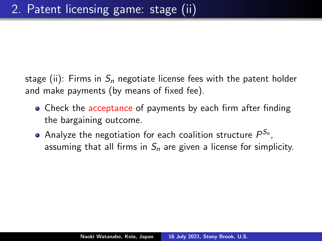stage (ii): Firms in  $S_n$  negotiate license fees with the patent holder and make payments (by means of fixed fee).

- Check the acceptance of payments by each firm after finding the bargaining outcome.
- Analyze the negotiation for each coalition structure  $P^{\mathcal{S}_n},$ assuming that all firms in  $S_n$  are given a license for simplicity.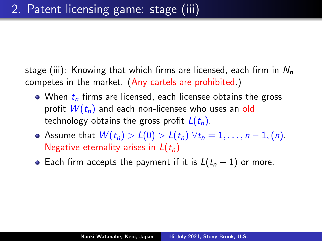stage (iii): Knowing that which firms are licensed, each firm in  $N_n$ competes in the market. (Any cartels are prohibited.)

- When  $t_n$  firms are licensed, each licensee obtains the gross profit  $W(t_n)$  and each non-licensee who uses an old technology obtains the gross profit  $L(t_n)$ .
- Assume that  $W(t_n) > L(0) > L(t_n) \ \forall t_n = 1, \ldots, n-1, (n)$ . Negative eternality arises in  $L(t_n)$
- Each firm accepts the payment if it is  $L(t_n 1)$  or more.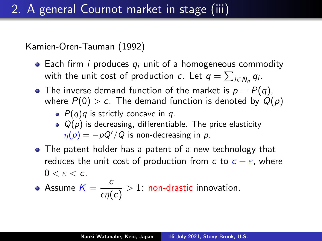Kamien-Oren-Tauman (1992)

- Each firm *i* produces  $q_i$  unit of a homogeneous commodity with the unit cost of production  $c$ . Let  $q = \sum_{i \in N_n} q_i$ .
- The inverse demand function of the market is  $p = P(q)$ , where  $P(0) > c$ . The demand function is denoted by  $Q(p)$ 
	- $\bullet$   $P(q)q$  is strictly concave in q.
	- $\bullet$   $Q(p)$  is decreasing, differentiable. The price elasticity  $\eta(p) = -pQ'/Q$  is non-decreasing in p.
- The patent holder has a patent of a new technology that reduces the unit cost of production from c to  $c - \varepsilon$ , where  $0 < \varepsilon < c$

• Assume 
$$
K = \frac{c}{\epsilon \eta(c)} > 1
$$
: non-drastic innovation.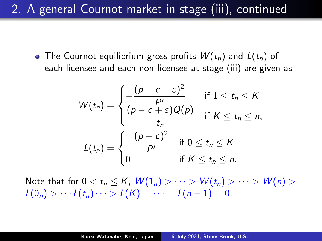2. A general Cournot market in stage (iii), continued

• The Cournot equilibrium gross profits  $W(t_n)$  and  $L(t_n)$  of each licensee and each non-licensee at stage (iii) are given as

$$
W(t_n) = \begin{cases} -\frac{(p-c+\varepsilon)^2}{p'} & \text{if } 1 \le t_n \le K\\ \frac{(p-c+\varepsilon)Q(p)}{t_n} & \text{if } K \le t_n \le n, \end{cases}
$$
  

$$
L(t_n) = \begin{cases} -\frac{(p-c)^2}{p'} & \text{if } 0 \le t_n \le K\\ 0 & \text{if } K \le t_n \le n. \end{cases}
$$

Note that for  $0 < t_n \leq K$ ,  $W(1_n) > \cdots > W(t_n) > \cdots > W(n) >$  $L(0_n) > \cdots L(t_n) \cdots > L(K) = \cdots = L(n-1) = 0.$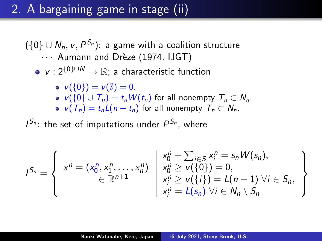# 2. A bargaining game in stage (ii)

 $(\{0\} \cup N_n, \nu, P^{\mathcal{S}_n})$ : a game with a coalition structure ... Aumann and Drèze (1974, IJGT)

•  $v : 2^{\{0\} \cup N} \rightarrow \mathbb{R}$ ; a characteristic function

$$
\bullet \ \mathsf{v}(\{0\})=\mathsf{v}(\emptyset)=0.
$$

- $v({0} \cup T_n) = t_n W(t_n)$  for all nonempty  $T_n \subset N_n$ .
- $v(T_n) = t_n L(n t_n)$  for all nonempty  $T_n \subset N_n$ .

 $I^{S_n}$ : the set of imputations under  $P^{S_n}$ , where

$$
I^{S_n} = \left\{\begin{array}{c} x^n = (x_0^n, x_1^n, \ldots, x_n^n) \, \begin{array}{c} x_0^n + \sum_{i \in S} x_i^n = s_n W(s_n), \\ x_0^n \geq v(\{0\}) = 0, \\ \in \mathbb{R}^{n+1} \end{array} \right\} \\ \begin{array}{c} x_0^n + \sum_{i \in S} x_i^n = s_n W(s_n), \\ x_0^n \geq v(\{0\}) = 0, \\ x_i^n \geq v(\{i\}) = L(n-1) \,\forall i \in S_n, \\ x_i^n = L(s_n) \,\forall i \in N_n \setminus S_n \end{array} \right\}
$$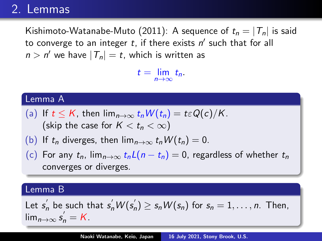### 2. Lemmas

Kishimoto-Watanabe-Muto (2011): A sequence of  $t_n = |T_n|$  is said to converge to an integer  $t$ , if there exists  $n'$  such that for all  $n > n'$  we have  $|\mathcal{T}_n| = t$ , which is written as

 $t = \lim_{n \to \infty} t_n.$ 

#### Lemma A

- (a) If  $t \leq K$ , then  $\lim_{n\to\infty} t_n W(t_n) = t \varepsilon Q(c)/K$ . (skip the case for  $K < t_n < \infty$ )
- (b) If  $t_n$  diverges, then  $\lim_{n\to\infty} t_n W(t_n) = 0$ .
- (c) For any  $t_n$ ,  $\lim_{n\to\infty} t_nL(n-t_n)=0$ , regardless of whether  $t_n$ converges or diverges.

#### Lemma B

Let  $s_n^{'}$  be such that  $s_n^{'}W(s_n^{'})\geq s_nW(s_n)$  for  $s_n=1,\ldots,n.$  Then,  $\lim_{n\to\infty} s'_n = K.$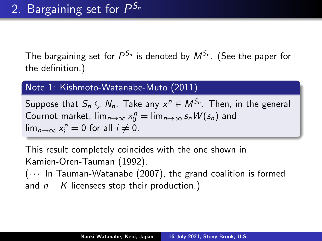The bargaining set for  $P^{S_n}$  is denoted by  $M^{S_n}$ . (See the paper for the definition.)

### Note 1: Kishmoto-Watanabe-Muto (2011)

Suppose that  $\mathcal{S}_n \subsetneq \mathcal{N}_n.$  Take any  $x^n \in \mathcal{M}^{\mathcal{S}_n}.$  Then, in the general Cournot market,  $\lim_{n\to\infty} x_0^n = \lim_{n\to\infty} s_n W(s_n)$  and  $\lim_{n\to\infty}x_i^n=0$  for all  $i\neq 0$ .

This result completely coincides with the one shown in Kamien-Oren-Tauman (1992).

 $(\cdots)$  In Tauman-Watanabe (2007), the grand coalition is formed and  $n - K$  licensees stop their production.)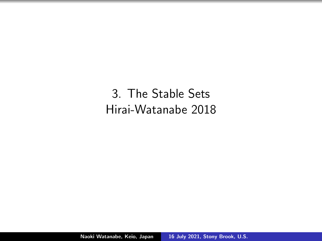3. The Stable Sets Hirai-Watanabe 2018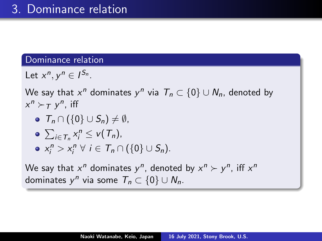#### Dominance relation

Let  $x^n, y^n \in I^{S_n}$ .

We say that  $x^n$  dominates  $y^n$  via  $\mathcal{T}_n \subset \{0\} \cup \mathcal{N}_n$ , denoted by  $x^n \succ_T y^n$ , iff

- $\bullet$   $T_n \cap (\{0\} \cup S_n) \neq \emptyset$ ,
- $\sum_{i\in\mathcal{T}_n} x_i^n \leq v(\mathcal{T}_n),$
- $x_i^n > x_i^n \ \forall \ i \in \mathcal{T}_n \cap (\{0\} \cup \mathcal{S}_n).$

We say that  $x^n$  dominates  $y^n$ , denoted by  $x^n \succ y^n$ , iff  $x^n$ dominates  $y^n$  via some  $\mathcal{T}_n \subset \{0\} \cup \mathcal{N}_n$ .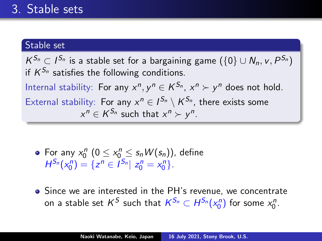### Stable set

 $\mathcal{K}^{S_n} \subset I^{S_n}$  is a stable set for a bargaining game  $(\{0\} \cup N_n, v, P^{S_n})$ if  $K^{S_n}$  satisfies the following conditions. Internal stability: For any  $x^n, y^n \in K^{S_n}, x^n \succ y^n$  does not hold. External stability: For any  $x^n \in I^{S_n} \setminus K^{S_n}$ , there exists some  $x^n \in K^{S_n}$  such that  $x^n \succ y^n$ .

- For any  $x_0^n$   $(0 \le x_0^n \le s_n W(s_n))$ , define  $H^{S_n}(x_0^n) = \{z^n \in I^{S_n} | z_0^n = x_0^n\}.$
- Since we are interested in the PH's revenue, we concentrate on a stable set  $\mathcal{K}^{\mathcal{S}}$  such that  $\mathcal{K}^{\mathcal{S}_n} \subset H^{\mathcal{S}_n}(x_0^n)$  for some  $x_0^n.$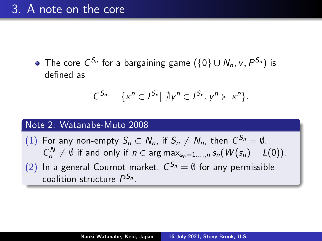The core  $C^{S_n}$  for a bargaining game  $(\{0\} \cup N_n, v, P^{S_n})$  is defined as

$$
C^{S_n}=\{x^n\in I^{S_n}|\ \nexists y^n\in I^{S_n}, y^n\succ x^n\}.
$$

#### Note 2: Watanabe-Muto 2008

(1) For any non-empty  $S_n \subset N_n$ , if  $S_n \neq N_n$ , then  $C^{S_n} = \emptyset$ .  $C_n^N \neq \emptyset$  if and only if  $n \in \arg \max_{s_n=1,\dots,n} s_n(W(s_n) - L(0)).$ (2) In a general Cournot market,  $C^{S_n} = \emptyset$  for any permissible coalition structure  $P^{\mathcal{S}_n}.$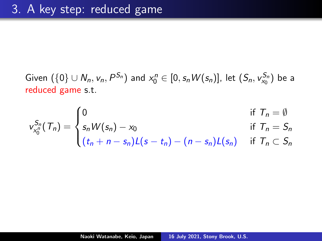Given  $(\{0\} \cup N_n, v_n, P^{S_n})$  and  $x_0^n \in [0, s_n W(s_n)]$ , let  $(S_n, v_{x_0}^{S_n})$  be a reduced game s.t.

$$
v_{x_0^n}^{S_n}(T_n) = \begin{cases} 0 & \text{if } T_n = \emptyset \\ s_n W(s_n) - x_0 & \text{if } T_n = S_n \\ (t_n + n - s_n) L(s - t_n) - (n - s_n) L(s_n) & \text{if } T_n \subset S_n \end{cases}
$$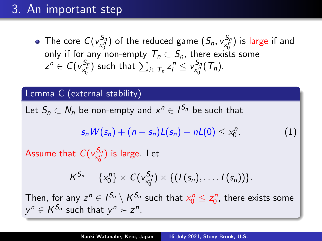## 3. An important step

The core  $C(v^{S_n}_{x^n_0})$  of the reduced game  $(S_n, v^{S_n}_{x^n_0})$  is large if and only if for any non-empty  $T_n \subset S_n$ , there exists some  $z^n \in C(v_{x_0^n}^{S_n})$  such that  $\sum_{i \in \mathcal{T}_n} z_i^n \leq v_{x_0^n}^{S_n}(\mathcal{T}_n)$ .

### Lemma C (external stability)

Let  $S_n\subset N_n$  be non-empty and  $x^n\in I^{S_n}$  be such that

$$
s_n W(s_n) + (n - s_n)L(s_n) - nL(0) \le x_0^n.
$$
 (1)

Assume that  $C(v^{S_n}_{x_0^n})$  is large. Let

$$
K^{S_n} = \{x_0^n\} \times C(v_{x_0^n}^{S_n}) \times \{(L(s_n), \ldots, L(s_n))\}.
$$

Then, for any  $z^n \in I^{S_n} \setminus K^{S_n}$  such that  $x_0^n \leq z_0^n$ , there exists some  $y^n \in K^{S_n}$  such that  $y^n \succ z^n$ .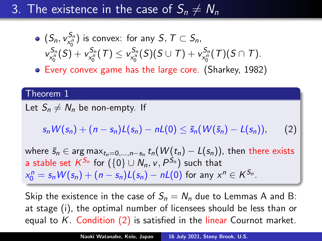## 3. The existence in the case of  $S_n \neq N_n$

• 
$$
(S_n, v_{X_0^p}^{S_n})
$$
 is convex: for any  $S, T \subset S_n$ ,  
 $v_{X_0^p}^{S_n}(S) + v_{X_0^p}^{S_n}(T) \le v_{X_0^p}^{S_n}(S)(S \cup T) + v_{X_0^p}^{S_n}(T)(S \cap T)$ .

Every convex game has the large core. (Sharkey, 1982)

#### Theorem 1

Let  $S_n \neq N_n$  be non-empty. If

 $s_n W(s_n) + (n - s_n)L(s_n) - nL(0) \leq \bar{s}_n (W(\bar{s}_n) - L(s_n)),$  (2)

where  $\bar{s}_n \in \argmax_{t_n=0,...,n-s_n} t_n(W(t_n) - L(s_n)),$  then there exists a stable set  $\mathcal{K}^{S_n}$  for  $(\{0\} \cup \mathcal{N}_n,\mathsf{v},\mathsf{P}^{S_n})$  such that  $x_0^n = s_n W(s_n) + (n - s_n)L(s_n) - nL(0)$  for any  $x^n \in K^{S_n}$ .

Skip the existence in the case of  $S_n = N_n$  due to Lemmas A and B: at stage (i), the optimal number of licensees should be less than or equal to  $K$ . Condition  $(2)$  is satisfied in the linear Cournot market.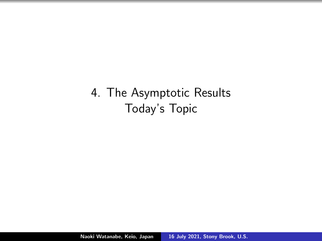4. The Asymptotic Results Today's Topic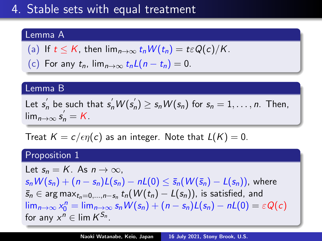# 4. Stable sets with equal treatment

### Lemma A

(a) If 
$$
t \le K
$$
, then  $\lim_{n \to \infty} t_n W(t_n) = t \varepsilon Q(c)/K$ .

(c) For any  $t_n$ ,  $\lim_{n\to\infty} t_nL(n-t_n)=0$ .

#### Lemma B

Let  $s_n^{'}$  be such that  $s_n^{'}W(s_n^{'})\geq s_nW(s_n)$  for  $s_n=1,\ldots,n$ . Then,  $\lim_{n\to\infty} s'_n = K.$ 

Treat  $K = c / \epsilon \eta(c)$  as an integer. Note that  $L(K) = 0$ .

#### Proposition 1

Let  $s_n = K$ . As  $n \to \infty$ .  $s_n W(s_n) + (n - s_n)L(s_n) - nL(0) \leq \bar{s}_n(W(\bar{s}_n) - L(s_n))$ , where  $\bar{s}_n \in \arg\mathsf{max}_{t_n = 0, ..., n - s_n}$   $t_n(W(t_n) - L(s_n))$ , is satisfied, and  $\lim_{n\to\infty} x_0^n = \lim_{n\to\infty} s_n W(s_n) + (n - s_n)L(s_n) - nL(0) = \varepsilon Q(c)$ for any  $x^n \in \text{lim } K^{S_n}.$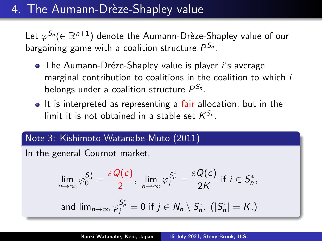## 4. The Aumann-Drèze-Shapley value

Let  $\varphi ^{\mathcal{S}_{n}}(\in \mathbb{R}^{n+1})$  denote the Aumann-Drèze-Shapley value of our bargaining game with a coalition structure  $P^{\mathcal{S}_n}.$ 

- The Aumann-Dréze-Shapley value is player *i's* average marginal contribution to coalitions in the coalition to which i belongs under a coalition structure  $P^{\mathcal{S}_n}$ .
- It is interpreted as representing a fair allocation, but in the limit it is not obtained in a stable set  $K^{S_n}.$

### Note 3: Kishimoto-Watanabe-Muto (2011)

In the general Cournot market,

$$
\lim_{n \to \infty} \varphi_0^{S_n^*} = \frac{\varepsilon Q(c)}{2}, \quad \lim_{n \to \infty} \varphi_j^{S_n^*} = \frac{\varepsilon Q(c)}{2K} \text{ if } i \in S_n^*,
$$
\n
$$
\text{and } \lim_{n \to \infty} \varphi_j^{S_n^*} = 0 \text{ if } j \in N_n \setminus S_n^*.\ (|S_n^*| = K.)
$$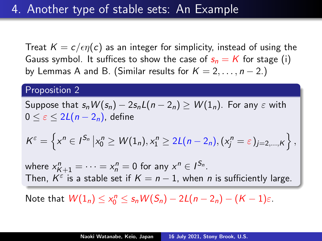Treat  $K = c / \epsilon \eta(c)$  as an integer for simplicity, instead of using the Gauss symbol. It suffices to show the case of  $s_n = K$  for stage (i) by Lemmas A and B. (Similar results for  $K = 2, \ldots, n - 2$ .)

#### Proposition 2

Suppose that  $s_n W(s_n) - 2s_n L(n-2_n) > W(1_n)$ . For any  $\varepsilon$  with  $0 \leq \varepsilon \leq 2L(n-2n)$ , define

$$
K^{\varepsilon}=\left\{x^{n}\in I^{S_{n}}\left|x_{0}^{n}\geq W(1_{n}),x_{1}^{n}\geq 2L(n-2_{n}), (x_{j}^{n}=\varepsilon)_{j=2,\ldots,K}\right\},\right\}
$$

where  $x_{K+1}^n = \cdots = x_n^n = 0$  for any  $x^n \in I^{S_n}$ . Then,  $K^{\varepsilon}$  is a stable set if  $K=n-1$ , when n is sufficiently large.

Note that  $W(1_n) \leq x_0^n \leq s_n W(S_n) - 2L(n-2_n) - (K-1)\varepsilon$ .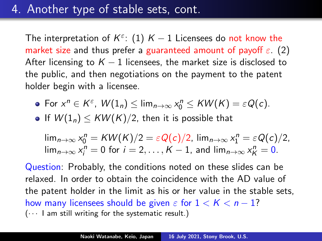## 4. Another type of stable sets, cont.

The interpretation of  $K^{\varepsilon}\!\!: \ (1)$   $K-1$  Licensees do not know the market size and thus prefer a guaranteed amount of payoff  $\varepsilon$ . (2) After licensing to  $K - 1$  licensees, the market size is disclosed to the public, and then negotiations on the payment to the patent holder begin with a licensee.

- For  $x^n \in K^{\varepsilon}$ ,  $W(1_n) \leq \lim_{n \to \infty} x_0^n \leq KW(K) = \varepsilon Q(\varepsilon)$ .
- If  $W(1_n) \leq KW(K)/2$ , then it is possible that

 $\lim_{n\to\infty} x_0^n = KW(K)/2 = \varepsilon Q(c)/2$ ,  $\lim_{n\to\infty} x_1^n = \varepsilon Q(c)/2$ ,  $\lim_{n\to\infty} x_i^n = 0$  for  $i = 2, ..., K - 1$ , and  $\lim_{n\to\infty} x_K^n = 0$ .

Question: Probably, the conditions noted on these slides can be relaxed. In order to obtain the coincidence with the AD value of the patent holder in the limit as his or her value in the stable sets, how many licensees should be given  $\varepsilon$  for  $1 < K < n - 1$ ?  $(\cdots)$  am still writing for the systematic result.)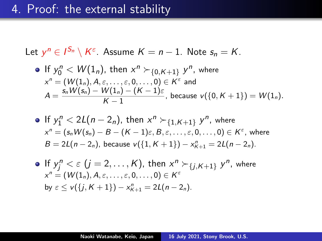## 4. Proof: the external stability

Let 
$$
y^n \in I^{S_n} \setminus K^{\varepsilon}
$$
. Assume  $K = n - 1$ . Note  $s_n = K$ .

• If 
$$
y_0^n < W(1_n)
$$
, then  $x^n >_{0,K+1} y^n$ , where  
\n $x^n = (W(1_n), A, \varepsilon, ..., \varepsilon, 0, ..., 0) \in K^{\varepsilon}$  and  
\n
$$
A = \frac{s_n W(s_n) - W(1_n) - (K - 1)\varepsilon}{K - 1}
$$
, because  $v({0, K + 1}) = W(1_n)$ .

• If 
$$
y_1^n < 2L(n - 2_n)
$$
, then  $x^n >_{\{1, K+1\}} y^n$ , where  
\n $x^n = (s_n W(s_n) - B - (K - 1)\varepsilon, B, \varepsilon, ..., \varepsilon, 0, ..., 0) \in K^{\varepsilon}$ , where  
\n $B = 2L(n - 2_n)$ , because  $v({1, K + 1}) - x_{K+1}^n = 2L(n - 2_n)$ .

• If 
$$
y_j^n \lt \epsilon
$$
  $(j = 2, ..., K)$ , then  $x^n \succ_{\{j, K+1\}} y^n$ , where  $x^n = (W(1_n), A, \epsilon, ..., \epsilon, 0, ..., 0) \in K^{\epsilon}$   
by  $\epsilon \le v(\{j, K+1\}) - x_{K+1}^n = 2L(n-2_n)$ .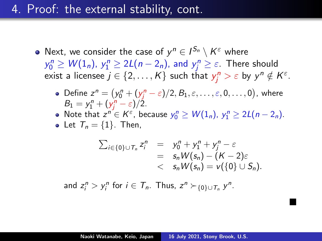## 4. Proof: the external stability, cont.

- Next, we consider the case of  $y^n \in I^{S_n} \setminus K^{\varepsilon}$  where  $y_0^n \ge W(1_n)$ ,  $y_1^n \ge 2L(n-2_n)$ , and  $y_j^n \ge \varepsilon$ . There should exist a licensee  $j \in \{2, \ldots, K\}$  such that  $y_j^n > \varepsilon$  by  $y^n \notin K^{\varepsilon}$ .
	- Define  $z^n = (y_0^n + (y_j^n \varepsilon)/2, B_1, \varepsilon, \ldots, \varepsilon, 0, \ldots, 0)$ , where  $B_1 = y_1^n + (y_j^n - \varepsilon)/2.$
	- Note that  $z^{n} \in K^{\varepsilon}$ , because  $y_{0}^{n} \geq W(1_{n}), y_{1}^{n} \geq 2L(n-2_{n}).$
	- Let  $T_n = \{1\}$ . Then,

$$
\Sigma_{i\in\{0\}\cup T_n} z_i^n = y_0^n + y_1^n + y_j^n - \varepsilon
$$
  
=  $s_n W(s_n) - (K-2)\varepsilon$   
<  $s_n W(s_n) = v(\{0\}\cup S_n).$ 

 $\blacksquare$ 

and  $z_i^n > y_i^n$  for  $i \in \mathcal{T}_n$ . Thus,  $z^n \succ_{\{0\} \cup \mathcal{T}_n} y^n$ .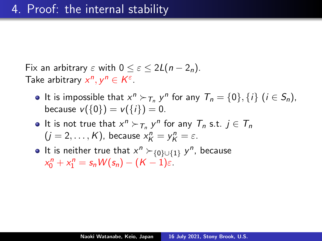Fix an arbitrary  $\varepsilon$  with  $0 \leq \varepsilon \leq 2L(n-2n)$ . Take arbitrary  $x^n, y^n \in K^{\varepsilon}$ .

- It is impossible that  $x^n \succ_{T_n} y^n$  for any  $T_n = \{0\}, \{i\}$   $(i \in S_n)$ , because  $v({0}) = v({i}) = 0$ .
- It is not true that  $x^n \succ_{\mathcal{T}_n} y^n$  for any  $\mathcal{T}_n$  s.t.  $j \in \mathcal{T}_n$  $(j = 2, \ldots, K)$ , because  $x_K^n = y_K^n = \varepsilon$ .
- It is neither true that  $x^n$   $\succ_{{0}^1\cup{1}} y^n$ , because  $x_0^n + x_1^n = s_n W(s_n) - (K - 1)\varepsilon.$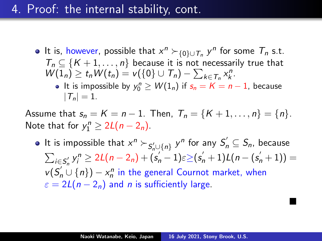## 4. Proof: the internal stability, cont.

It is, however, possible that  $x^n \succ_{\{0\} \cup T_n} y^n$  for some  $T_n$  s.t.  $T_n \subseteq \{K+1,\ldots,n\}$  because it is not necessarily true that  $W(1_n) \ge t_n W(t_n) = v({0} \cup T_n) - \sum_{k \in T_n} x_k^n$ . It is impossible by  $y_0^n \geq W(1_n)$  if  $s_n = K = n - 1$ , because  $|T_n| = 1.$ 

Assume that  $s_n = K = n - 1$ . Then,  $T_n = \{K + 1, \ldots, n\} = \{n\}$ . Note that for  $y_1^n \geq 2L(n-2_n)$ .

It is impossible that  $x^n \succ_{\mathcal{S}'_n\cup\{n\}} y^n$  for any  $\mathcal{S}'_n \subseteq \mathcal{S}_n$ , because  $\sum_{i \in S'_n} y_i^n \ge 2L(n-2_n) + (s'_n-1)\varepsilon \ge (s'_n+1)L(n-(s'_n+1)) =$  $v(S'_n \cup \{n\}) - x_n^n$  in the general Cournot market, when  $\varepsilon = 2L(n-2_n)$  and *n* is sufficiently large.

 $\blacksquare$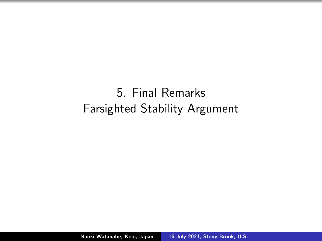5. Final Remarks Farsighted Stability Argument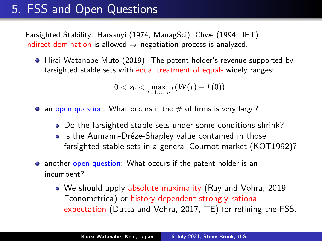## 5. FSS and Open Questions

Farsighted Stability: Harsanyi (1974, ManagSci), Chwe (1994, JET) indirect domination is allowed  $\Rightarrow$  negotiation process is analyzed.

Hirai-Watanabe-Muto (2019): The patent holder's revenue supported by farsighted stable sets with equal treatment of equals widely ranges;

$$
0 < x_0 < \max_{t=1,...,n} t(W(t) - L(0)).
$$

- $\bullet$  an open question: What occurs if the  $\#$  of firms is very large?
	- Do the farsighted stable sets under some conditions shrink?
	- Is the Aumann-Dréze-Shapley value contained in those farsighted stable sets in a general Cournot market (KOT1992)?
- **•** another open question: What occurs if the patent holder is an incumbent?
	- We should apply absolute maximality (Ray and Vohra, 2019, Econometrica) or history-dependent strongly rational expectation (Dutta and Vohra, 2017, TE) for refining the FSS.